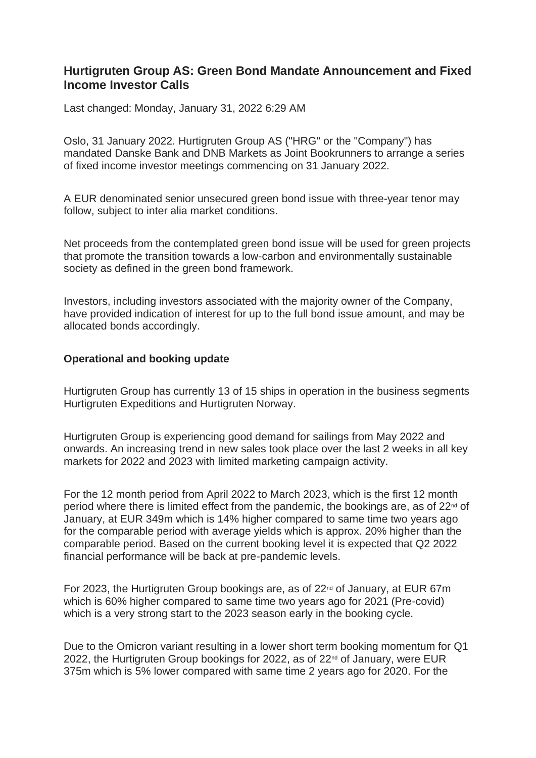## **Hurtigruten Group AS: Green Bond Mandate Announcement and Fixed Income Investor Calls**

Last changed: Monday, January 31, 2022 6:29 AM

Oslo, 31 January 2022. Hurtigruten Group AS ("HRG" or the "Company") has mandated Danske Bank and DNB Markets as Joint Bookrunners to arrange a series of fixed income investor meetings commencing on 31 January 2022.

A EUR denominated senior unsecured green bond issue with three-year tenor may follow, subject to inter alia market conditions.

Net proceeds from the contemplated green bond issue will be used for green projects that promote the transition towards a low-carbon and environmentally sustainable society as defined in the green bond framework.

Investors, including investors associated with the majority owner of the Company, have provided indication of interest for up to the full bond issue amount, and may be allocated bonds accordingly.

## **Operational and booking update**

Hurtigruten Group has currently 13 of 15 ships in operation in the business segments Hurtigruten Expeditions and Hurtigruten Norway.

Hurtigruten Group is experiencing good demand for sailings from May 2022 and onwards. An increasing trend in new sales took place over the last 2 weeks in all key markets for 2022 and 2023 with limited marketing campaign activity.

For the 12 month period from April 2022 to March 2023, which is the first 12 month period where there is limited effect from the pandemic, the bookings are, as of  $22<sup>nd</sup>$  of January, at EUR 349m which is 14% higher compared to same time two years ago for the comparable period with average yields which is approx. 20% higher than the comparable period. Based on the current booking level it is expected that Q2 2022 financial performance will be back at pre-pandemic levels.

For 2023, the Hurtigruten Group bookings are, as of  $22<sup>nd</sup>$  of January, at EUR 67m which is 60% higher compared to same time two years ago for 2021 (Pre-covid) which is a very strong start to the 2023 season early in the booking cycle.

Due to the Omicron variant resulting in a lower short term booking momentum for Q1 2022, the Hurtigruten Group bookings for 2022, as of  $22<sup>nd</sup>$  of January, were EUR 375m which is 5% lower compared with same time 2 years ago for 2020. For the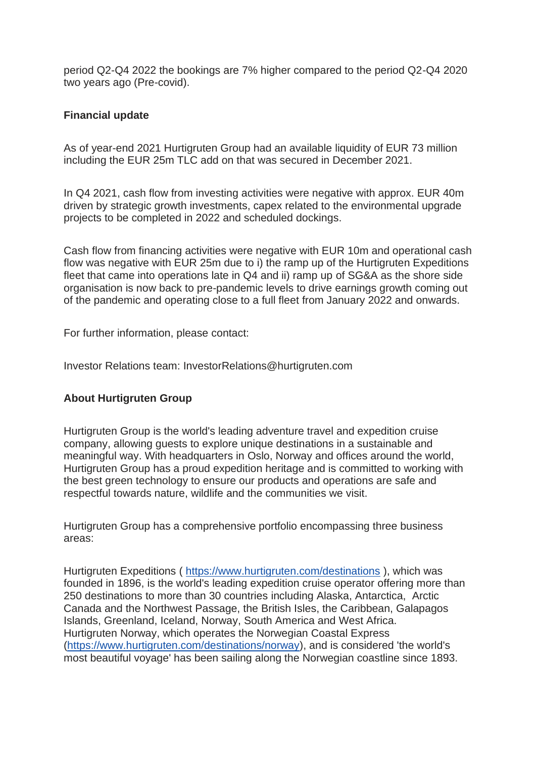period Q2-Q4 2022 the bookings are 7% higher compared to the period Q2-Q4 2020 two years ago (Pre-covid).

## **Financial update**

As of year-end 2021 Hurtigruten Group had an available liquidity of EUR 73 million including the EUR 25m TLC add on that was secured in December 2021.

In Q4 2021, cash flow from investing activities were negative with approx. EUR 40m driven by strategic growth investments, capex related to the environmental upgrade projects to be completed in 2022 and scheduled dockings.

Cash flow from financing activities were negative with EUR 10m and operational cash flow was negative with EUR 25m due to i) the ramp up of the Hurtigruten Expeditions fleet that came into operations late in Q4 and ii) ramp up of SG&A as the shore side organisation is now back to pre-pandemic levels to drive earnings growth coming out of the pandemic and operating close to a full fleet from January 2022 and onwards.

For further information, please contact:

Investor Relations team: InvestorRelations@hurtigruten.com

## **About Hurtigruten Group**

Hurtigruten Group is the world's leading adventure travel and expedition cruise company, allowing guests to explore unique destinations in a sustainable and meaningful way. With headquarters in Oslo, Norway and offices around the world, Hurtigruten Group has a proud expedition heritage and is committed to working with the best green technology to ensure our products and operations are safe and respectful towards nature, wildlife and the communities we visit.

Hurtigruten Group has a comprehensive portfolio encompassing three business areas:

Hurtigruten Expeditions ( <https://www.hurtigruten.com/destinations> ), which was founded in 1896, is the world's leading expedition cruise operator offering more than 250 destinations to more than 30 countries including Alaska, Antarctica, Arctic Canada and the Northwest Passage, the British Isles, the Caribbean, Galapagos Islands, Greenland, Iceland, Norway, South America and West Africa. Hurtigruten Norway, which operates the Norwegian Coastal Express [\(https://www.hurtigruten.com/destinations/norway\)](https://www.hurtigruten.com/destinations/norway), and is considered 'the world's most beautiful voyage' has been sailing along the Norwegian coastline since 1893.